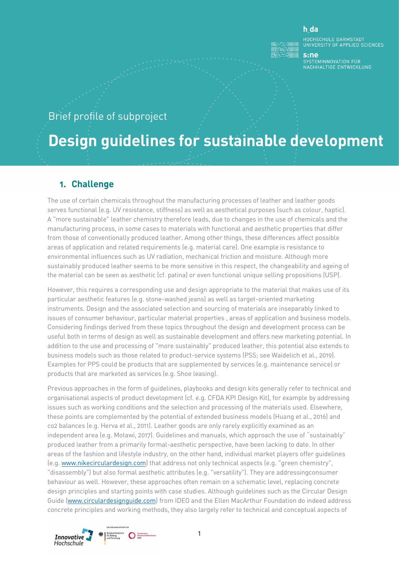#### h da

HOCHSCHULE DARMSTADT<br>UNIVERSITY OF APPLIED SCIENCES

 $s:ne$ -----<br>SYSTEMINNOVATION FÜR<br>NACHHALTIGE ENTWICKLUNG

## Brief profile of subproject

# **Design guidelines for sustainable development**

#### **1. Challenge**

The use of certain chemicals throughout the manufacturing processes of leather and leather goods serves functional (e.g. UV resistance, stiffness) as well as aesthetical purposes (such as colour, haptic). A "more sustainable" leather chemistry therefore leads, due to changes in the use of chemicals and the manufacturing process, in some cases to materials with functional and aesthetic properties that differ from those of conventionally produced leather. Among other things, these differences affect possible areas of application and related requirements (e.g. material care). One example is resistance to environmental influences such as UV radiation, mechanical friction and moisture. Although more sustainably produced leather seems to be more sensitive in this respect, the changeability and ageing of the material can be seen as aesthetic (cf. patina) or even functional unique selling propositions (USP).

However, this requires a corresponding use and design appropriate to the material that makes use of its particular aesthetic features (e.g. stone-washed jeans) as well as target-oriented marketing instruments. Design and the associated selection and sourcing of materials are inseparably linked to issues of consumer behaviour, particular material properties , areas of application and business models. Considering findings derived from these topics throughout the design and development process can be useful both in terms of design as well as sustainable development and offers new marketing potential. In addition to the use and processing of "more sustainably" produced leather, this potential also extends to business models such as those related to product-service systems (PSS; see Waidelich et al., 2019). Examples for PPS could be products that are supplemented by services (e.g. maintenance service) or products that are marketed as services (e.g. Shoe leasing).

Previous approaches in the form of guidelines, playbooks and design kits generally refer to technical and organisational aspects of product development (cf. e.g. CFDA KPI Design Kit), for example by addressing issues such as working conditions and the selection and processing of the materials used. Elsewhere, these points are complemented by the potential of extended business models (Huang et al., 2016) and co2 balances (e.g. Herva et al., 2011). Leather goods are only rarely explicitly examined as an independent area (e.g. Motawi, 2017). Guidelines and manuals, which approach the use of "sustainably" produced leather from a primarily formal-aesthetic perspective, have been lacking to date. In other areas of the fashion and lifestyle industry, on the other hand, individual market players offer guidelines (e.g. [www.nikecirculardesign.com\)](http://www.nikecirculardesign.com/) that address not only technical aspects (e.g. "green chemistry", "disassembly") but also formal aesthetic attributes (e.g. "versatility"). They are addressingconsumer behaviour as well. However, these approaches often remain on a schematic level, replacing concrete design principles and starting points with case studies. Although guidelines such as the Circular Design Guide [\(www.circulardesignguide.com\)](http://www.circulardesignguide.com/) from IDEO and the Ellen MacArthur Foundation do indeed address concrete principles and working methods, they also largely refer to technical and conceptual aspects of

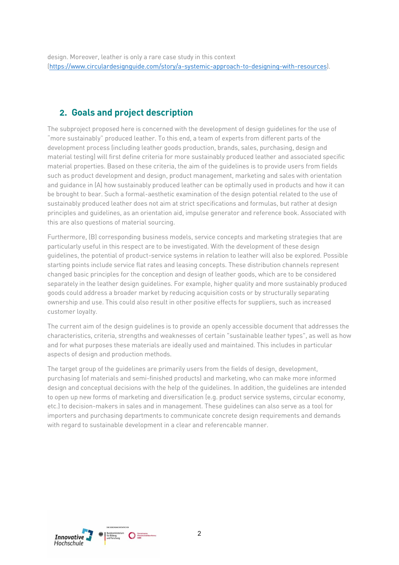## **2. Goals and project description**

The subproject proposed here is concerned with the development of design guidelines for the use of "more sustainably" produced leather. To this end, a team of experts from different parts of the development process (including leather goods production, brands, sales, purchasing, design and material testing) will first define criteria for more sustainably produced leather and associated specific material properties. Based on these criteria, the aim of the guidelines is to provide users from fields such as product development and design, product management, marketing and sales with orientation and guidance in (A) how sustainably produced leather can be optimally used in products and how it can be brought to bear. Such a formal-aesthetic examination of the design potential related to the use of sustainably produced leather does not aim at strict specifications and formulas, but rather at design principles and guidelines, as an orientation aid, impulse generator and reference book. Associated with this are also questions of material sourcing.

Furthermore, (B) corresponding business models, service concepts and marketing strategies that are particularly useful in this respect are to be investigated. With the development of these design guidelines, the potential of product-service systems in relation to leather will also be explored. Possible starting points include service flat rates and leasing concepts. These distribution channels represent changed basic principles for the conception and design of leather goods, which are to be considered separately in the leather design guidelines. For example, higher quality and more sustainably produced goods could address a broader market by reducing acquisition costs or by structurally separating ownership and use. This could also result in other positive effects for suppliers, such as increased customer loyalty.

The current aim of the design guidelines is to provide an openly accessible document that addresses the characteristics, criteria, strengths and weaknesses of certain "sustainable leather types", as well as how and for what purposes these materials are ideally used and maintained. This includes in particular aspects of design and production methods.

The target group of the guidelines are primarily users from the fields of design, development, purchasing (of materials and semi-finished products) and marketing, who can make more informed design and conceptual decisions with the help of the guidelines. In addition, the guidelines are intended to open up new forms of marketing and diversification (e.g. product service systems, circular economy, etc.) to decision-makers in sales and in management. These guidelines can also serve as a tool for importers and purchasing departments to communicate concrete design requirements and demands with regard to sustainable development in a clear and referencable manner.

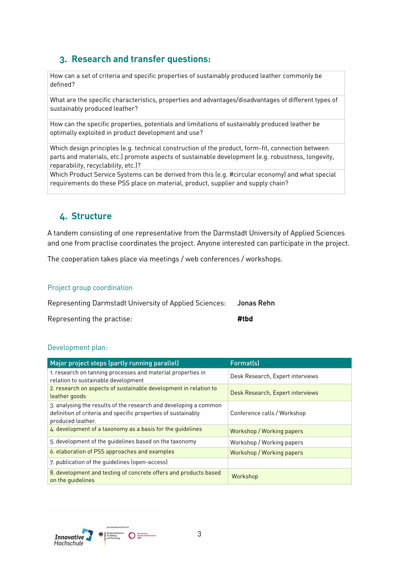## **3. Research and transfer questions:**

How can a set of criteria and specific properties of sustainably produced leather commonly be defined?

What are the specific characteristics, properties and advantages/disadvantages of different types of sustainably produced leather?

How can the specific properties, potentials and limitations of sustainably produced leather be optimally exploited in product development and use?

Which design principles (e.g. technical construction of the product, form-fit, connection between parts and materials, etc.) promote aspects of sustainable development (e.g. robustness, longevity, reparability, recyclability, etc.)?

Which Product Service Systems can be derived from this (e.g. #circular economy) and what special requirements do these PSS place on material, product, supplier and supply chain?

#### **4. Structure**

A tandem consisting of one representative from the Darmstadt University of Applied Sciences and one from practise coordinates the project. Anyone interested can participate in the project.

The cooperation takes place via meetings / web conferences / workshops.

#### Project group coordination

| Representing Darmstadt University of Applied Sciences: Jonas Rehn |      |
|-------------------------------------------------------------------|------|
| Representing the practise:                                        | #tbd |

#### Development plan:

| Major project steps (partly running parallel)                                                                                                          | Format(s)                        |
|--------------------------------------------------------------------------------------------------------------------------------------------------------|----------------------------------|
| 1. research on tanning processes and material properties in<br>relation to sustainable development                                                     | Desk Research, Expert interviews |
| 2. research on aspects of sustainable development in relation to<br>leather goods                                                                      | Desk Research, Expert interviews |
| 3. analysing the results of the research and developing a common<br>definition of criteria and specific properties of sustainably<br>produced leather. | Conference calls / Workshop      |
| 4. development of a taxonomy as a basis for the quidelines                                                                                             | Workshop / Working papers        |
| 5. development of the guidelines based on the taxonomy                                                                                                 | Workshop / Working papers        |
| 6. elaboration of PSS approaches and examples                                                                                                          | Workshop / Working papers        |
| 7. publication of the guidelines (open-access)                                                                                                         |                                  |
| 8. development and testing of concrete offers and products based<br>on the quidelines                                                                  | Workshop                         |